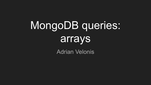# MongoDB queries: arrays

Adrian Velonis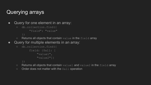## Querying arrays

```
• Query for one element in an array:
```
○ db.collection.find({

"field": "value"

})

- $\circ$  Returns all objects that contain value in the field array
- Query for multiple elements in an array:

```
○ db.collection.find({
       field: {$all: [
            "value1",
            "value2"]}
```
})

- o Returns all objects that contain value1 and value2 in the field array
- Order does not matter with the \$all operation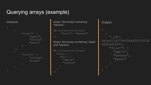# Querying arrays (example)

Database:

```
"fruit": [
          "apple",
          "banana",
          "peach"
},
     "fruit": [
          "orange",
          "grape"
```
Query: find arrays containing "banana":

```
db.collection.find({
     "fruit": "banana"
})
```
Query: find arrays containing "apple" and "banana":

```
db.collection.find({
   fruit: {
     $all: [
       "apple",
       "banana"
```
Output: "\_id": ObjectId("5a934e000102030 405000000"), "fruit": [ "apple", "banana", "peach"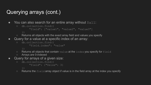# Querying arrays (cont.)

- You can also search for an entire array without  $$all:$ 
	- db.collection.find({

"field": ["value1", "value2", "value3"]

})

- Returns all objects with the exact array field and values you specify
- Query for a value at a specific index of an array:

```
○ db.collection.find({
```
"field.index": "value"

})

- o Returns all objects that contain value at the index you specify for field
- Arrays are 0-indexed
- Query for arrays of a given size:

```
○ db.collection.find({
        "field": {"$size": 3}
   })
```
 $\circ$  Returns the field array object if value is in the field array at the index you specify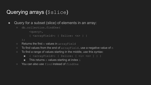## Querying arrays (\$slice)

- Query for a subset (slice) of elements in an array:
	- db.collection.findOne(

```
<query>,
{ <arrayField>: { $slice: <n> } }
```
);

- Returns the first n values in arrayField
- $\circ$  To find values from the end of  $\arctan\theta$  rate of  $\sin\theta$
- $\circ$  To find a range of values starting in the middle, use this syntax:
	- { <arrayField>: { \$slice: [ <i> <n> ] } }
	- $\blacksquare$  This returns n values starting at index  $\pm$
- You can also use find instead of findOne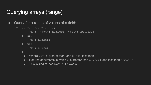#### Querying arrays (range)

```
• Query for a range of values of a field:
```

```
○ db.collection.find({
```
"x": {"\$qt": number1, "\$lt": number2}

}).min({

```
"x": number1
```

```
}).max({
```

```
"x": number2
```
})

- **Nota** Where  $\varsigma_{\text{gt}}$  is "greater than" and  $\varsigma_{\text{lt}}$  is "less than"
- **EXECUTE:** Returns documents in which x is greater than number 1 and less than number 2
- This is kind of inefficient, but it works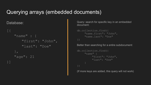#### Querying arrays (embedded documents)

Database:

```
\lceil \}"name" : {
       "first": "John",
       "last": "Doe"
    },
   "age": 21
```
Query: search for specific key in an embedded document:

```
db.collection.find({
    "name.first": "John",
    "name.last": "Doe"
```
Better than searching for a entire subdocument:

```
db.collection.find({
     "name" {
         "first": "John",
          "last": "Doe"
```
(If more keys are added, this query will not work)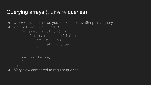#### Querying arrays (\$where queries)

- Swhere clause allows you to execute JavaScript in a query
- db.collection.find{(

```
$where: function() {
          for (var x in this) {
             if (x == y) {
                 return true;
      return false;
● Very slow compared to regular queries
```